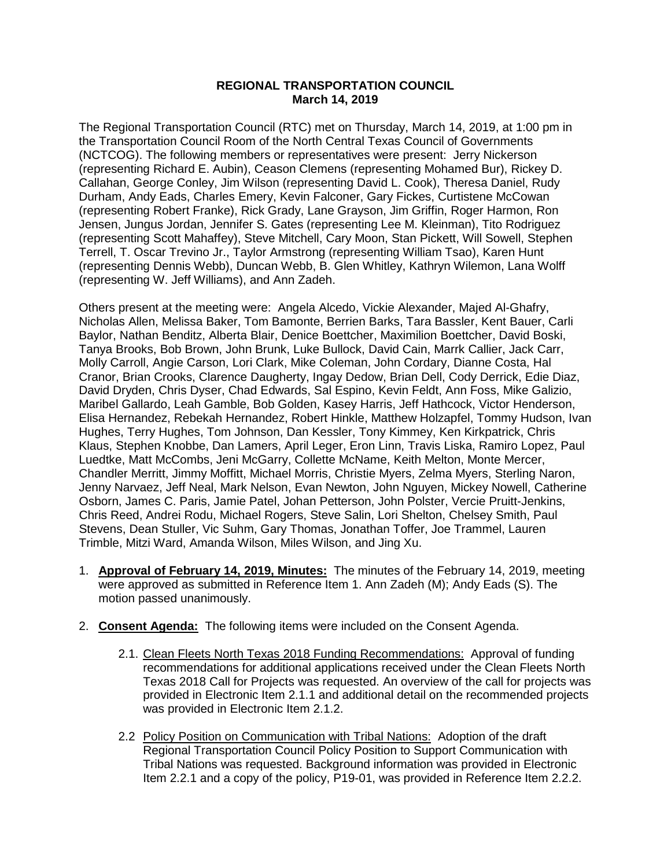## **REGIONAL TRANSPORTATION COUNCIL March 14, 2019**

The Regional Transportation Council (RTC) met on Thursday, March 14, 2019, at 1:00 pm in the Transportation Council Room of the North Central Texas Council of Governments (NCTCOG). The following members or representatives were present: Jerry Nickerson (representing Richard E. Aubin), Ceason Clemens (representing Mohamed Bur), Rickey D. Callahan, George Conley, Jim Wilson (representing David L. Cook), Theresa Daniel, Rudy Durham, Andy Eads, Charles Emery, Kevin Falconer, Gary Fickes, Curtistene McCowan (representing Robert Franke), Rick Grady, Lane Grayson, Jim Griffin, Roger Harmon, Ron Jensen, Jungus Jordan, Jennifer S. Gates (representing Lee M. Kleinman), Tito Rodriguez (representing Scott Mahaffey), Steve Mitchell, Cary Moon, Stan Pickett, Will Sowell, Stephen Terrell, T. Oscar Trevino Jr., Taylor Armstrong (representing William Tsao), Karen Hunt (representing Dennis Webb), Duncan Webb, B. Glen Whitley, Kathryn Wilemon, Lana Wolff (representing W. Jeff Williams), and Ann Zadeh.

Others present at the meeting were: Angela Alcedo, Vickie Alexander, Majed Al-Ghafry, Nicholas Allen, Melissa Baker, Tom Bamonte, Berrien Barks, Tara Bassler, Kent Bauer, Carli Baylor, Nathan Benditz, Alberta Blair, Denice Boettcher, Maximilion Boettcher, David Boski, Tanya Brooks, Bob Brown, John Brunk, Luke Bullock, David Cain, Marrk Callier, Jack Carr, Molly Carroll, Angie Carson, Lori Clark, Mike Coleman, John Cordary, Dianne Costa, Hal Cranor, Brian Crooks, Clarence Daugherty, Ingay Dedow, Brian Dell, Cody Derrick, Edie Diaz, David Dryden, Chris Dyser, Chad Edwards, Sal Espino, Kevin Feldt, Ann Foss, Mike Galizio, Maribel Gallardo, Leah Gamble, Bob Golden, Kasey Harris, Jeff Hathcock, Victor Henderson, Elisa Hernandez, Rebekah Hernandez, Robert Hinkle, Matthew Holzapfel, Tommy Hudson, Ivan Hughes, Terry Hughes, Tom Johnson, Dan Kessler, Tony Kimmey, Ken Kirkpatrick, Chris Klaus, Stephen Knobbe, Dan Lamers, April Leger, Eron Linn, Travis Liska, Ramiro Lopez, Paul Luedtke, Matt McCombs, Jeni McGarry, Collette McName, Keith Melton, Monte Mercer, Chandler Merritt, Jimmy Moffitt, Michael Morris, Christie Myers, Zelma Myers, Sterling Naron, Jenny Narvaez, Jeff Neal, Mark Nelson, Evan Newton, John Nguyen, Mickey Nowell, Catherine Osborn, James C. Paris, Jamie Patel, Johan Petterson, John Polster, Vercie Pruitt-Jenkins, Chris Reed, Andrei Rodu, Michael Rogers, Steve Salin, Lori Shelton, Chelsey Smith, Paul Stevens, Dean Stuller, Vic Suhm, Gary Thomas, Jonathan Toffer, Joe Trammel, Lauren Trimble, Mitzi Ward, Amanda Wilson, Miles Wilson, and Jing Xu.

- 1. **Approval of February 14, 2019, Minutes:** The minutes of the February 14, 2019, meeting were approved as submitted in Reference Item 1. Ann Zadeh (M); Andy Eads (S). The motion passed unanimously.
- 2. **Consent Agenda:** The following items were included on the Consent Agenda.
	- 2.1. Clean Fleets North Texas 2018 Funding Recommendations: Approval of funding recommendations for additional applications received under the Clean Fleets North Texas 2018 Call for Projects was requested. An overview of the call for projects was provided in Electronic Item 2.1.1 and additional detail on the recommended projects was provided in Electronic Item 2.1.2.
	- 2.2 Policy Position on Communication with Tribal Nations: Adoption of the draft Regional Transportation Council Policy Position to Support Communication with Tribal Nations was requested. Background information was provided in Electronic Item 2.2.1 and a copy of the policy, P19-01, was provided in Reference Item 2.2.2.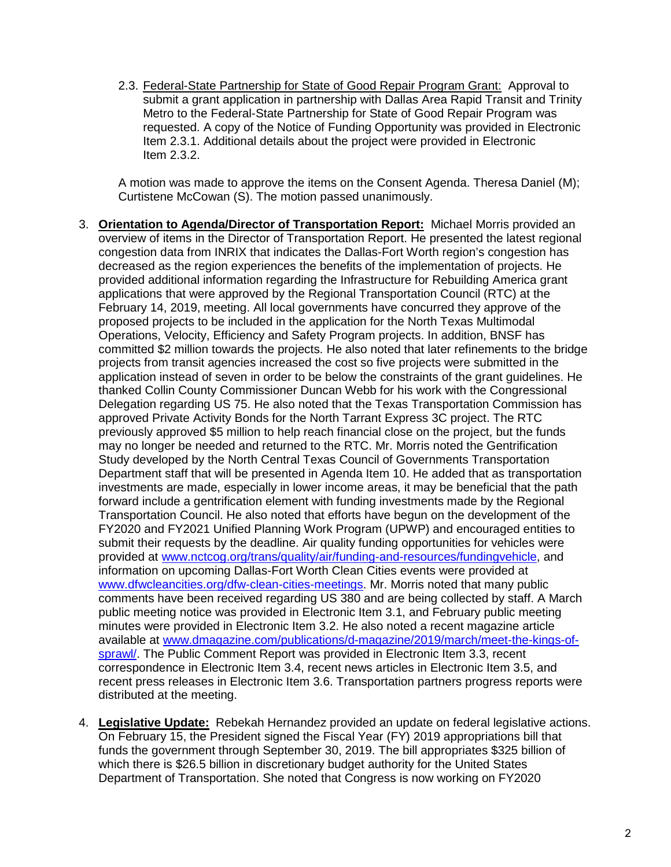2.3. Federal-State Partnership for State of Good Repair Program Grant: Approval to submit a grant application in partnership with Dallas Area Rapid Transit and Trinity Metro to the Federal-State Partnership for State of Good Repair Program was requested. A copy of the Notice of Funding Opportunity was provided in Electronic Item 2.3.1. Additional details about the project were provided in Electronic Item 2.3.2.

A motion was made to approve the items on the Consent Agenda. Theresa Daniel (M); Curtistene McCowan (S). The motion passed unanimously.

- 3. **Orientation to Agenda/Director of Transportation Report:** Michael Morris provided an overview of items in the Director of Transportation Report. He presented the latest regional congestion data from INRIX that indicates the Dallas-Fort Worth region's congestion has decreased as the region experiences the benefits of the implementation of projects. He provided additional information regarding the Infrastructure for Rebuilding America grant applications that were approved by the Regional Transportation Council (RTC) at the February 14, 2019, meeting. All local governments have concurred they approve of the proposed projects to be included in the application for the North Texas Multimodal Operations, Velocity, Efficiency and Safety Program projects. In addition, BNSF has committed \$2 million towards the projects. He also noted that later refinements to the bridge projects from transit agencies increased the cost so five projects were submitted in the application instead of seven in order to be below the constraints of the grant guidelines. He thanked Collin County Commissioner Duncan Webb for his work with the Congressional Delegation regarding US 75. He also noted that the Texas Transportation Commission has approved Private Activity Bonds for the North Tarrant Express 3C project. The RTC previously approved \$5 million to help reach financial close on the project, but the funds may no longer be needed and returned to the RTC. Mr. Morris noted the Gentrification Study developed by the North Central Texas Council of Governments Transportation Department staff that will be presented in Agenda Item 10. He added that as transportation investments are made, especially in lower income areas, it may be beneficial that the path forward include a gentrification element with funding investments made by the Regional Transportation Council. He also noted that efforts have begun on the development of the FY2020 and FY2021 Unified Planning Work Program (UPWP) and encouraged entities to submit their requests by the deadline. Air quality funding opportunities for vehicles were provided at [www.nctcog.org/trans/quality/air/funding-and-resources/fundingvehicle,](http://www.nctcog.org/trans/quality/air/funding-and-resources/fundingvehicle) and information on upcoming Dallas-Fort Worth Clean Cities events were provided at www.dfwcleancities.org/dfw-clean-cities-meetings</u>. Mr. Morris noted that many public comments have been received regarding US 380 and are being collected by staff. A March public meeting notice was provided in Electronic Item 3.1, and February public meeting minutes were provided in Electronic Item 3.2. He also noted a recent magazine article available at [www.dmagazine.com/publications/d-magazine/2019/march/meet-the-kings-of](http://www.dmagazine.com/publications/d-magazine/2019/march/meet-the-kings-of-sprawl/)[sprawl/.](http://www.dmagazine.com/publications/d-magazine/2019/march/meet-the-kings-of-sprawl/) The Public Comment Report was provided in Electronic Item 3.3, recent correspondence in Electronic Item 3.4, recent news articles in Electronic Item 3.5, and recent press releases in Electronic Item 3.6. Transportation partners progress reports were distributed at the meeting.
- 4. **Legislative Update:** Rebekah Hernandez provided an update on federal legislative actions. On February 15, the President signed the Fiscal Year (FY) 2019 appropriations bill that funds the government through September 30, 2019. The bill appropriates \$325 billion of which there is \$26.5 billion in discretionary budget authority for the United States Department of Transportation. She noted that Congress is now working on FY2020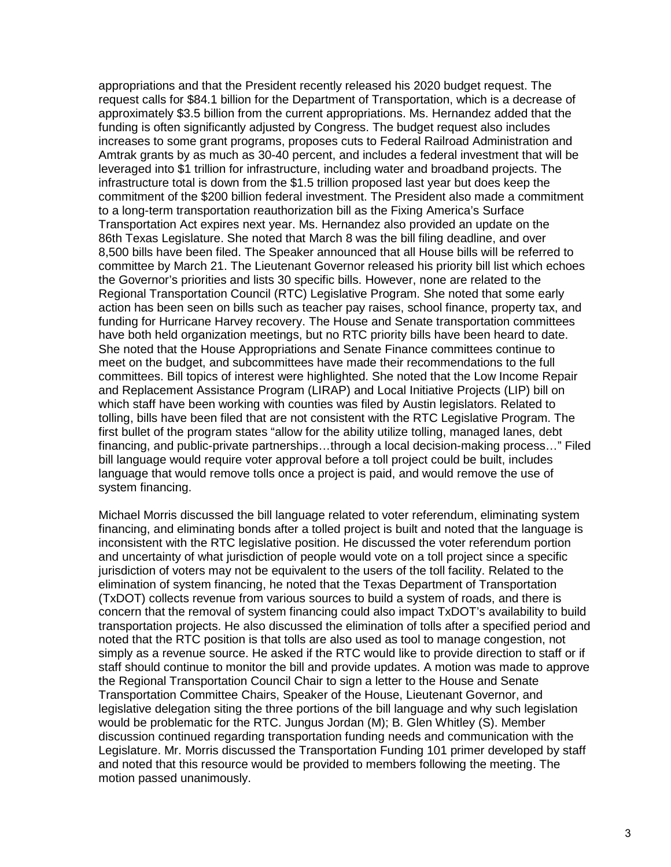appropriations and that the President recently released his 2020 budget request. The request calls for \$84.1 billion for the Department of Transportation, which is a decrease of approximately \$3.5 billion from the current appropriations. Ms. Hernandez added that the funding is often significantly adjusted by Congress. The budget request also includes increases to some grant programs, proposes cuts to Federal Railroad Administration and Amtrak grants by as much as 30-40 percent, and includes a federal investment that will be leveraged into \$1 trillion for infrastructure, including water and broadband projects. The infrastructure total is down from the \$1.5 trillion proposed last year but does keep the commitment of the \$200 billion federal investment. The President also made a commitment to a long-term transportation reauthorization bill as the Fixing America's Surface Transportation Act expires next year. Ms. Hernandez also provided an update on the 86th Texas Legislature. She noted that March 8 was the bill filing deadline, and over 8,500 bills have been filed. The Speaker announced that all House bills will be referred to committee by March 21. The Lieutenant Governor released his priority bill list which echoes the Governor's priorities and lists 30 specific bills. However, none are related to the Regional Transportation Council (RTC) Legislative Program. She noted that some early action has been seen on bills such as teacher pay raises, school finance, property tax, and funding for Hurricane Harvey recovery. The House and Senate transportation committees have both held organization meetings, but no RTC priority bills have been heard to date. She noted that the House Appropriations and Senate Finance committees continue to meet on the budget, and subcommittees have made their recommendations to the full committees. Bill topics of interest were highlighted. She noted that the Low Income Repair and Replacement Assistance Program (LIRAP) and Local Initiative Projects (LIP) bill on which staff have been working with counties was filed by Austin legislators. Related to tolling, bills have been filed that are not consistent with the RTC Legislative Program. The first bullet of the program states "allow for the ability utilize tolling, managed lanes, debt financing, and public-private partnerships…through a local decision-making process…" Filed bill language would require voter approval before a toll project could be built, includes language that would remove tolls once a project is paid, and would remove the use of system financing.

Michael Morris discussed the bill language related to voter referendum, eliminating system financing, and eliminating bonds after a tolled project is built and noted that the language is inconsistent with the RTC legislative position. He discussed the voter referendum portion and uncertainty of what jurisdiction of people would vote on a toll project since a specific jurisdiction of voters may not be equivalent to the users of the toll facility. Related to the elimination of system financing, he noted that the Texas Department of Transportation (TxDOT) collects revenue from various sources to build a system of roads, and there is concern that the removal of system financing could also impact TxDOT's availability to build transportation projects. He also discussed the elimination of tolls after a specified period and noted that the RTC position is that tolls are also used as tool to manage congestion, not simply as a revenue source. He asked if the RTC would like to provide direction to staff or if staff should continue to monitor the bill and provide updates. A motion was made to approve the Regional Transportation Council Chair to sign a letter to the House and Senate Transportation Committee Chairs, Speaker of the House, Lieutenant Governor, and legislative delegation siting the three portions of the bill language and why such legislation would be problematic for the RTC. Jungus Jordan (M); B. Glen Whitley (S). Member discussion continued regarding transportation funding needs and communication with the Legislature. Mr. Morris discussed the Transportation Funding 101 primer developed by staff and noted that this resource would be provided to members following the meeting. The motion passed unanimously.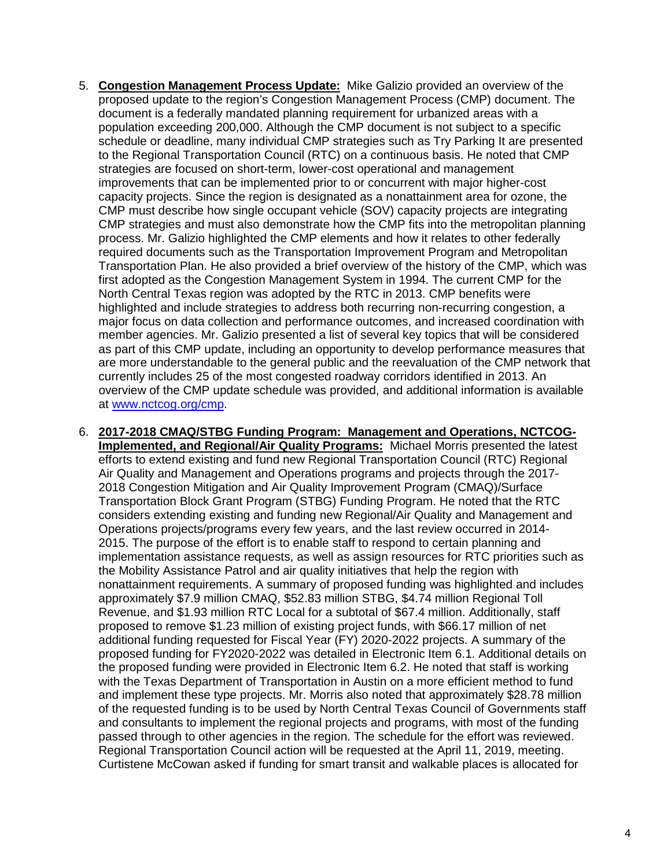- 5. **Congestion Management Process Update:** Mike Galizio provided an overview of the proposed update to the region's Congestion Management Process (CMP) document. The document is a federally mandated planning requirement for urbanized areas with a population exceeding 200,000. Although the CMP document is not subject to a specific schedule or deadline, many individual CMP strategies such as Try Parking It are presented to the Regional Transportation Council (RTC) on a continuous basis. He noted that CMP strategies are focused on short-term, lower-cost operational and management improvements that can be implemented prior to or concurrent with major higher-cost capacity projects. Since the region is designated as a nonattainment area for ozone, the CMP must describe how single occupant vehicle (SOV) capacity projects are integrating CMP strategies and must also demonstrate how the CMP fits into the metropolitan planning process. Mr. Galizio highlighted the CMP elements and how it relates to other federally required documents such as the Transportation Improvement Program and Metropolitan Transportation Plan. He also provided a brief overview of the history of the CMP, which was first adopted as the Congestion Management System in 1994. The current CMP for the North Central Texas region was adopted by the RTC in 2013. CMP benefits were highlighted and include strategies to address both recurring non-recurring congestion, a major focus on data collection and performance outcomes, and increased coordination with member agencies. Mr. Galizio presented a list of several key topics that will be considered as part of this CMP update, including an opportunity to develop performance measures that are more understandable to the general public and the reevaluation of the CMP network that currently includes 25 of the most congested roadway corridors identified in 2013. An overview of the CMP update schedule was provided, and additional information is available at [www.nctcog.org/cmp.](http://www.nctcog.org/cmp)
- 6. **2017-2018 CMAQ/STBG Funding Program: Management and Operations, NCTCOG-Implemented, and Regional/Air Quality Programs:** Michael Morris presented the latest efforts to extend existing and fund new Regional Transportation Council (RTC) Regional Air Quality and Management and Operations programs and projects through the 2017- 2018 Congestion Mitigation and Air Quality Improvement Program (CMAQ)/Surface Transportation Block Grant Program (STBG) Funding Program. He noted that the RTC considers extending existing and funding new Regional/Air Quality and Management and Operations projects/programs every few years, and the last review occurred in 2014- 2015. The purpose of the effort is to enable staff to respond to certain planning and implementation assistance requests, as well as assign resources for RTC priorities such as the Mobility Assistance Patrol and air quality initiatives that help the region with nonattainment requirements. A summary of proposed funding was highlighted and includes approximately \$7.9 million CMAQ, \$52.83 million STBG, \$4.74 million Regional Toll Revenue, and \$1.93 million RTC Local for a subtotal of \$67.4 million. Additionally, staff proposed to remove \$1.23 million of existing project funds, with \$66.17 million of net additional funding requested for Fiscal Year (FY) 2020-2022 projects. A summary of the proposed funding for FY2020-2022 was detailed in Electronic Item 6.1. Additional details on the proposed funding were provided in Electronic Item 6.2. He noted that staff is working with the Texas Department of Transportation in Austin on a more efficient method to fund and implement these type projects. Mr. Morris also noted that approximately \$28.78 million of the requested funding is to be used by North Central Texas Council of Governments staff and consultants to implement the regional projects and programs, with most of the funding passed through to other agencies in the region. The schedule for the effort was reviewed. Regional Transportation Council action will be requested at the April 11, 2019, meeting. Curtistene McCowan asked if funding for smart transit and walkable places is allocated for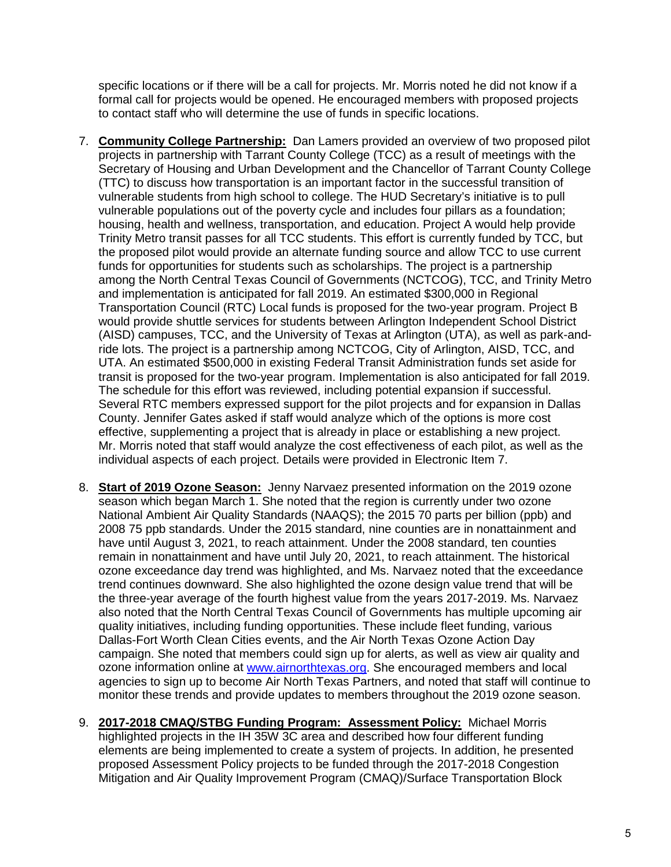specific locations or if there will be a call for projects. Mr. Morris noted he did not know if a formal call for projects would be opened. He encouraged members with proposed projects to contact staff who will determine the use of funds in specific locations.

- 7. **Community College Partnership:** Dan Lamers provided an overview of two proposed pilot projects in partnership with Tarrant County College (TCC) as a result of meetings with the Secretary of Housing and Urban Development and the Chancellor of Tarrant County College (TTC) to discuss how transportation is an important factor in the successful transition of vulnerable students from high school to college. The HUD Secretary's initiative is to pull vulnerable populations out of the poverty cycle and includes four pillars as a foundation; housing, health and wellness, transportation, and education. Project A would help provide Trinity Metro transit passes for all TCC students. This effort is currently funded by TCC, but the proposed pilot would provide an alternate funding source and allow TCC to use current funds for opportunities for students such as scholarships. The project is a partnership among the North Central Texas Council of Governments (NCTCOG), TCC, and Trinity Metro and implementation is anticipated for fall 2019. An estimated \$300,000 in Regional Transportation Council (RTC) Local funds is proposed for the two-year program. Project B would provide shuttle services for students between Arlington Independent School District (AISD) campuses, TCC, and the University of Texas at Arlington (UTA), as well as park-andride lots. The project is a partnership among NCTCOG, City of Arlington, AISD, TCC, and UTA. An estimated \$500,000 in existing Federal Transit Administration funds set aside for transit is proposed for the two-year program. Implementation is also anticipated for fall 2019. The schedule for this effort was reviewed, including potential expansion if successful. Several RTC members expressed support for the pilot projects and for expansion in Dallas County. Jennifer Gates asked if staff would analyze which of the options is more cost effective, supplementing a project that is already in place or establishing a new project. Mr. Morris noted that staff would analyze the cost effectiveness of each pilot, as well as the individual aspects of each project. Details were provided in Electronic Item 7.
- 8. **Start of 2019 Ozone Season:** Jenny Narvaez presented information on the 2019 ozone season which began March 1. She noted that the region is currently under two ozone National Ambient Air Quality Standards (NAAQS); the 2015 70 parts per billion (ppb) and 2008 75 ppb standards. Under the 2015 standard, nine counties are in nonattainment and have until August 3, 2021, to reach attainment. Under the 2008 standard, ten counties remain in nonattainment and have until July 20, 2021, to reach attainment. The historical ozone exceedance day trend was highlighted, and Ms. Narvaez noted that the exceedance trend continues downward. She also highlighted the ozone design value trend that will be the three-year average of the fourth highest value from the years 2017-2019. Ms. Narvaez also noted that the North Central Texas Council of Governments has multiple upcoming air quality initiatives, including funding opportunities. These include fleet funding, various Dallas-Fort Worth Clean Cities events, and the Air North Texas Ozone Action Day campaign. She noted that members could sign up for alerts, as well as view air quality and ozone information online at [www.airnorthtexas.org.](http://www.airnorthtexas.org/) She encouraged members and local agencies to sign up to become Air North Texas Partners, and noted that staff will continue to monitor these trends and provide updates to members throughout the 2019 ozone season.
- 9. **2017-2018 CMAQ/STBG Funding Program: Assessment Policy:** Michael Morris highlighted projects in the IH 35W 3C area and described how four different funding elements are being implemented to create a system of projects. In addition, he presented proposed Assessment Policy projects to be funded through the 2017-2018 Congestion Mitigation and Air Quality Improvement Program (CMAQ)/Surface Transportation Block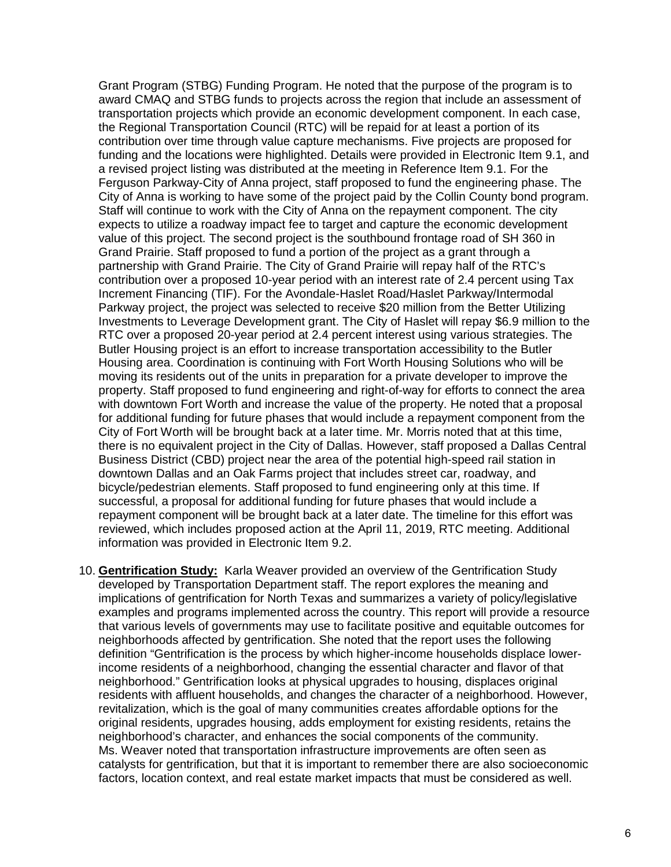Grant Program (STBG) Funding Program. He noted that the purpose of the program is to award CMAQ and STBG funds to projects across the region that include an assessment of transportation projects which provide an economic development component. In each case, the Regional Transportation Council (RTC) will be repaid for at least a portion of its contribution over time through value capture mechanisms. Five projects are proposed for funding and the locations were highlighted. Details were provided in Electronic Item 9.1, and a revised project listing was distributed at the meeting in Reference Item 9.1. For the Ferguson Parkway-City of Anna project, staff proposed to fund the engineering phase. The City of Anna is working to have some of the project paid by the Collin County bond program. Staff will continue to work with the City of Anna on the repayment component. The city expects to utilize a roadway impact fee to target and capture the economic development value of this project. The second project is the southbound frontage road of SH 360 in Grand Prairie. Staff proposed to fund a portion of the project as a grant through a partnership with Grand Prairie. The City of Grand Prairie will repay half of the RTC's contribution over a proposed 10-year period with an interest rate of 2.4 percent using Tax Increment Financing (TIF). For the Avondale-Haslet Road/Haslet Parkway/Intermodal Parkway project, the project was selected to receive \$20 million from the Better Utilizing Investments to Leverage Development grant. The City of Haslet will repay \$6.9 million to the RTC over a proposed 20-year period at 2.4 percent interest using various strategies. The Butler Housing project is an effort to increase transportation accessibility to the Butler Housing area. Coordination is continuing with Fort Worth Housing Solutions who will be moving its residents out of the units in preparation for a private developer to improve the property. Staff proposed to fund engineering and right-of-way for efforts to connect the area with downtown Fort Worth and increase the value of the property. He noted that a proposal for additional funding for future phases that would include a repayment component from the City of Fort Worth will be brought back at a later time. Mr. Morris noted that at this time, there is no equivalent project in the City of Dallas. However, staff proposed a Dallas Central Business District (CBD) project near the area of the potential high-speed rail station in downtown Dallas and an Oak Farms project that includes street car, roadway, and bicycle/pedestrian elements. Staff proposed to fund engineering only at this time. If successful, a proposal for additional funding for future phases that would include a repayment component will be brought back at a later date. The timeline for this effort was reviewed, which includes proposed action at the April 11, 2019, RTC meeting. Additional information was provided in Electronic Item 9.2.

10. **Gentrification Study:** Karla Weaver provided an overview of the Gentrification Study developed by Transportation Department staff. The report explores the meaning and implications of gentrification for North Texas and summarizes a variety of policy/legislative examples and programs implemented across the country. This report will provide a resource that various levels of governments may use to facilitate positive and equitable outcomes for neighborhoods affected by gentrification. She noted that the report uses the following definition "Gentrification is the process by which higher-income households displace lowerincome residents of a neighborhood, changing the essential character and flavor of that neighborhood." Gentrification looks at physical upgrades to housing, displaces original residents with affluent households, and changes the character of a neighborhood. However, revitalization, which is the goal of many communities creates affordable options for the original residents, upgrades housing, adds employment for existing residents, retains the neighborhood's character, and enhances the social components of the community. Ms. Weaver noted that transportation infrastructure improvements are often seen as catalysts for gentrification, but that it is important to remember there are also socioeconomic factors, location context, and real estate market impacts that must be considered as well.